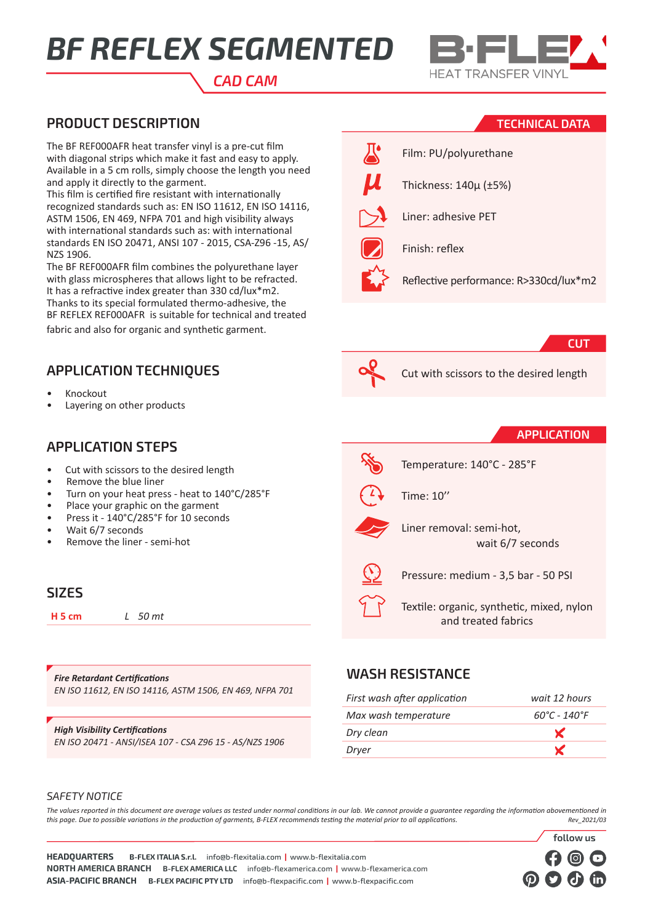# *BF REFLEX SEGMENTED*



#### *CAD CAM*

#### **PRODUCT DESCRIPTION**

The BF REF000AFR heat transfer vinyl is a pre-cut film with diagonal strips which make it fast and easy to apply. Available in a 5 cm rolls, simply choose the length you need and apply it directly to the garment.

This film is certified fire resistant with internationally recognized standards such as: EN ISO 11612, EN ISO 14116, ASTM 1506, EN 469, NFPA 701 and high visibility always with international standards such as: with international standards EN ISO 20471, ANSI 107 - 2015, CSA-Z96 -15, AS/ NZS 1906.

The BF REF000AFR film combines the polyurethane layer with glass microspheres that allows light to be refracted. It has a refractive index greater than 330 cd/lux\*m2. Thanks to its special formulated thermo-adhesive, the BF REFLEX REF000AFR is suitable for technical and treated fabric and also for organic and synthetic garment.

### **APPLICATION TECHNIQUES**

- Knockout
- Layering on other products

#### **APPLICATION STEPS**

- Cut with scissors to the desired length
- Remove the blue liner
- Turn on your heat press heat to 140°C/285°F
- Place your graphic on the garment
- Press it 140°C/285°F for 10 seconds
- Wait 6/7 seconds
- Remove the liner semi-hot

#### **SIZES**

**H 5 cm** *L 50 mt*

*Fire Retardant Certifications EN ISO 11612, EN ISO 14116, ASTM 1506, EN 469, NFPA 701*

#### *High Visibility Certifications*

*EN ISO 20471 - ANSI/ISEA 107 - CSA Z96 15 - AS/NZS 1906*

#### **TECHNICAL DATA**



#### **CUT**



Cut with scissors to the desired length

#### **APPLICATION**

**follow us**

| Temperat |
|----------|
|----------|

ture: 140°C - 285°F



Time: 10''



Liner removal: semi-hot, wait 6/7 seconds

Pressure: medium - 3,5 bar - 50 PSI

Textile: organic, synthetic, mixed, nylon and treated fabrics

#### **WASH RESISTANCE**

| First wash after application | wait 12 hours                     |
|------------------------------|-----------------------------------|
| Max wash temperature         | $60^{\circ}$ C - 140 $^{\circ}$ F |
| Dry clean                    | $\mathbf{x}$                      |
| Dryer                        | X                                 |
|                              |                                   |

#### *SAFETY NOTICE*

*The values reported in this document are average values as tested under normal conditions in our lab. We cannot provide a guarantee regarding the information abovementioned in this page. Due to possible variations in the production of garments, B-FLEX recommends testing the material prior to all applications. Rev\_2021/03*